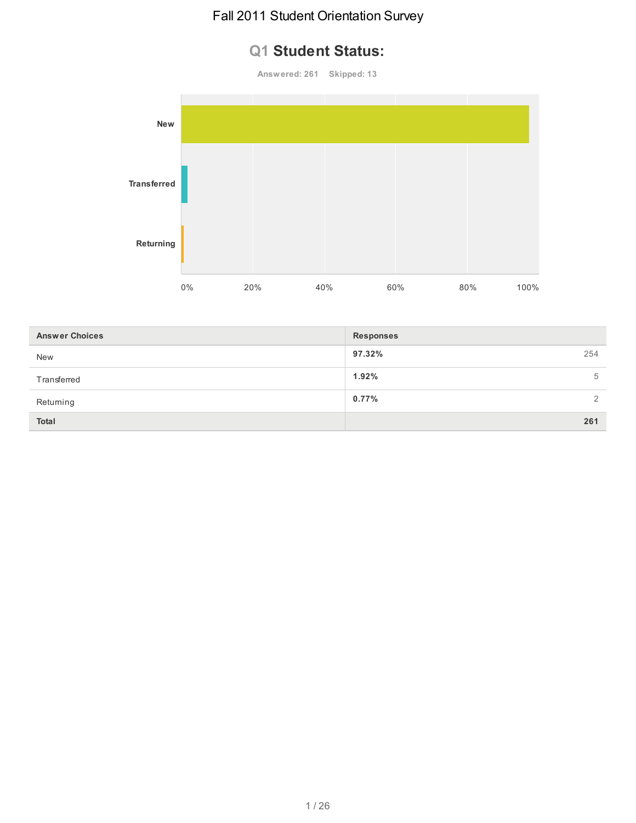# **Q1 Student Status:**

**Answered: 261 Skipped: 13**



| <b>Answer Choices</b> | <b>Responses</b> |
|-----------------------|------------------|
| <b>New</b>            | 97.32%<br>254    |
| Transferred           | 1.92%<br>5       |
| Returning             | $0.77\%$<br>2    |
| <b>Total</b>          | 261              |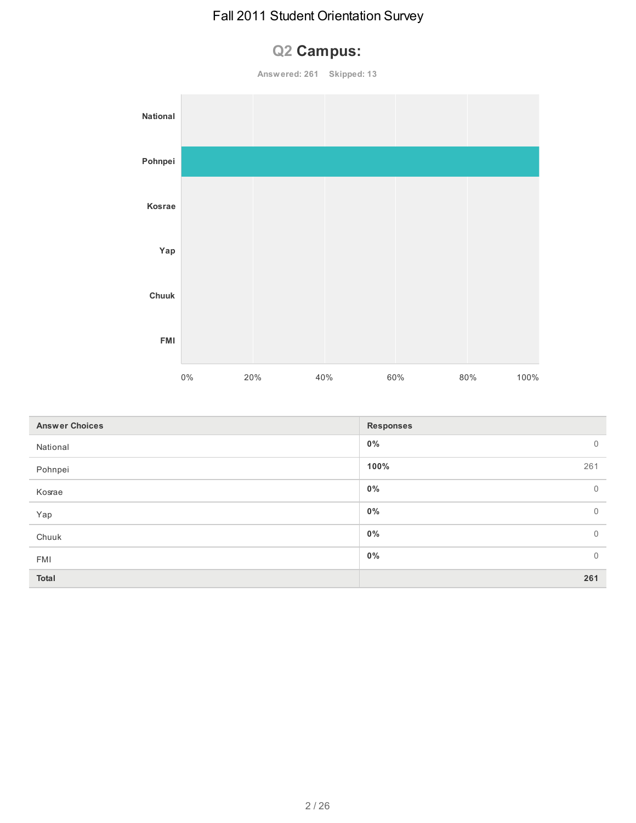# **Q2 Campus:**

**Answered: 261 Skipped: 13 National Pohnpei Kosrae Yap Chuuk**

|                       | FMI |       |     |     |                  |     |     |      |             |
|-----------------------|-----|-------|-----|-----|------------------|-----|-----|------|-------------|
|                       |     | $0\%$ | 20% | 40% |                  | 60% | 80% | 100% |             |
|                       |     |       |     |     |                  |     |     |      |             |
| <b>Answer Choices</b> |     |       |     |     | <b>Responses</b> |     |     |      |             |
| National              |     |       |     |     | $0\%$            |     |     |      | $\mathbf 0$ |
| Pohnpei               |     |       |     |     | 100%             |     |     |      | 261         |
| Kosrae                |     |       |     |     | $0\%$            |     |     |      | $\mathbf 0$ |
| Yap                   |     |       |     |     | $0\%$            |     |     |      | $\mathbf 0$ |
| Chuuk                 |     |       |     |     | $0\%$            |     |     |      | $\mathbf 0$ |
| FMI                   |     |       |     |     | $0\%$            |     |     |      | $\mathbf 0$ |
| Total                 |     |       |     |     |                  |     |     |      | 261         |
|                       |     |       |     |     |                  |     |     |      |             |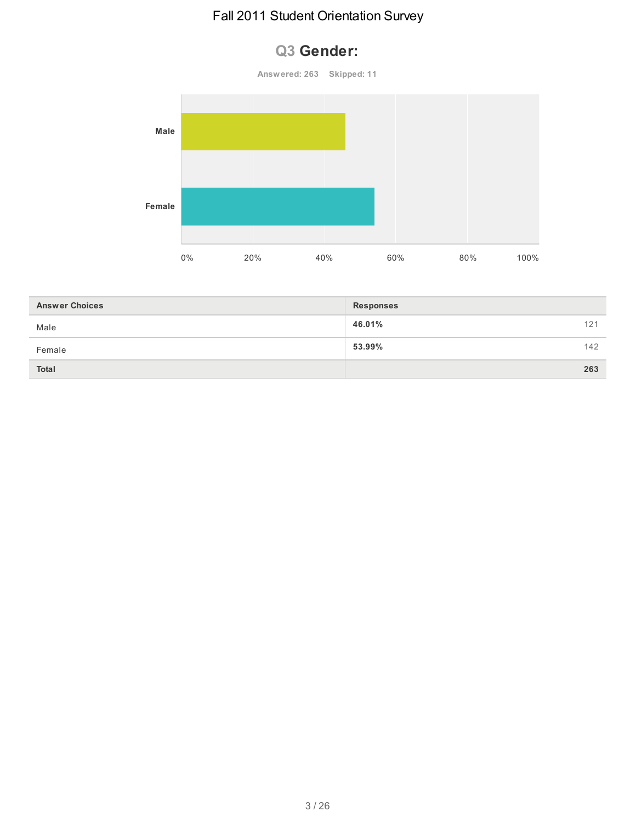# **Q3 Gender:**



| <b>Answer Choices</b> | <b>Responses</b> |     |
|-----------------------|------------------|-----|
| Male                  | 46.01%           | 121 |
| Female                | 53.99%           | 142 |
| <b>Total</b>          |                  | 263 |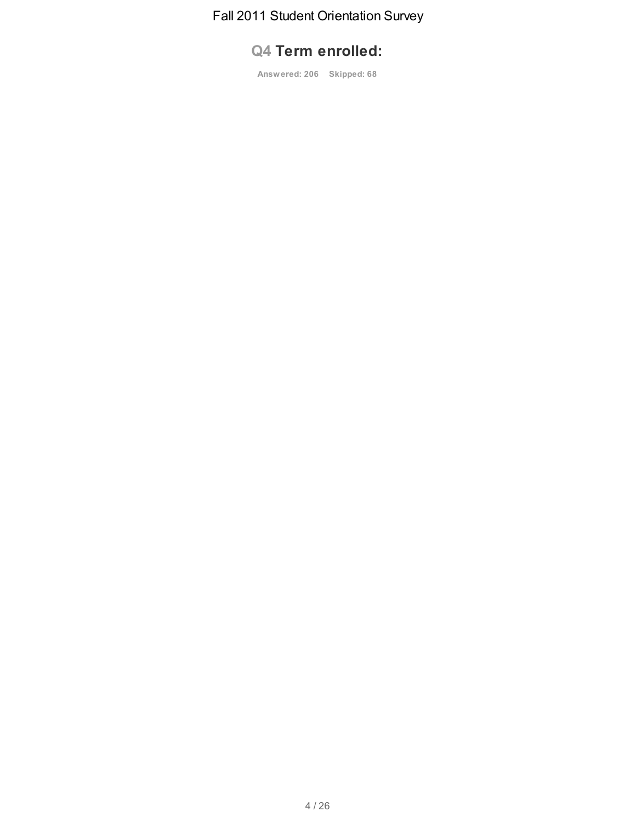# **Q4 Term enrolled:**

**Answered: 206 Skipped: 68**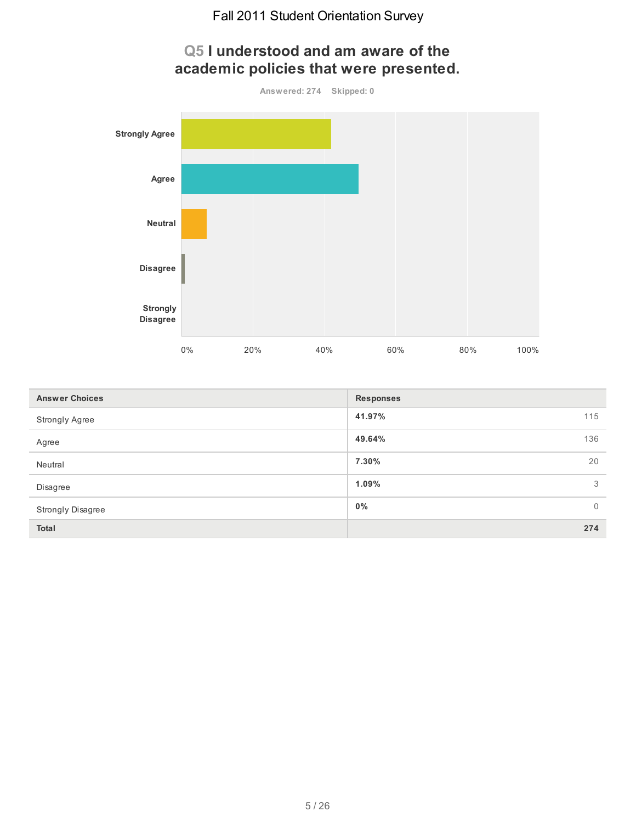

| <b>Answer Choices</b> | <b>Responses</b> |                |
|-----------------------|------------------|----------------|
| Strongly Agree        | 41.97%<br>115    |                |
| Agree                 | 136<br>49.64%    |                |
| Neutral               | 20<br>7.30%      |                |
| Disagree              | 1.09%            | 3              |
| Strongly Disagree     | $0\%$            | $\overline{0}$ |
| Total                 | 274              |                |

# **Q5 I understood and am aware of the academic policies that were presented.**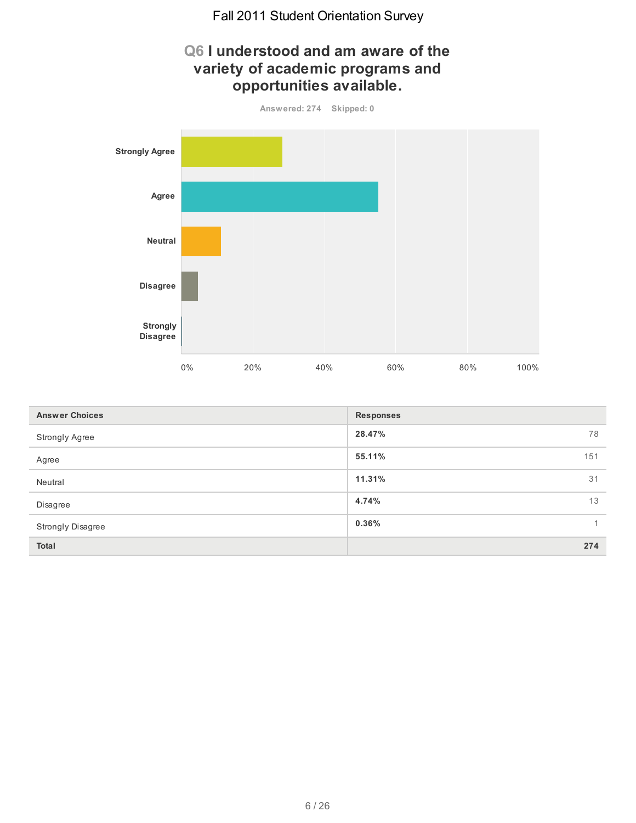

| <b>Answer Choices</b> | <b>Responses</b> |
|-----------------------|------------------|
| Strongly Agree        | 28.47%<br>78     |
| Agree                 | 55.11%<br>151    |
| Neutral               | 11.31%<br>31     |
| Disagree              | 13<br>4.74%      |
| Strongly Disagree     | $0.36\%$         |
| Total                 | 274              |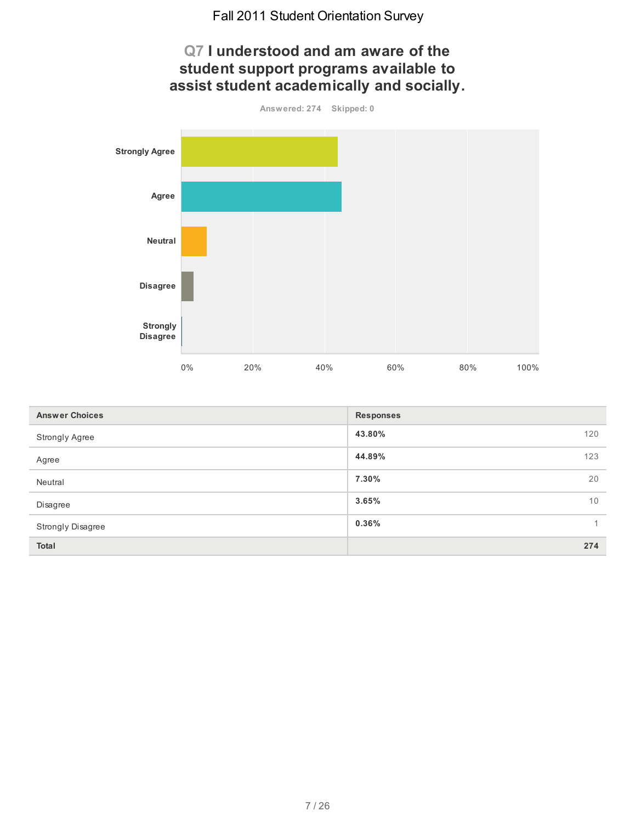

| <b>Answer Choices</b> | <b>Responses</b> |
|-----------------------|------------------|
| Strongly Agree        | 43.80%<br>120    |
| Agree                 | 44.89%<br>123    |
| Neutral               | 7.30%<br>20      |
| Disagree              | 3.65%<br>10      |
| Strongly Disagree     | $0.36\%$         |
| Total                 | 274              |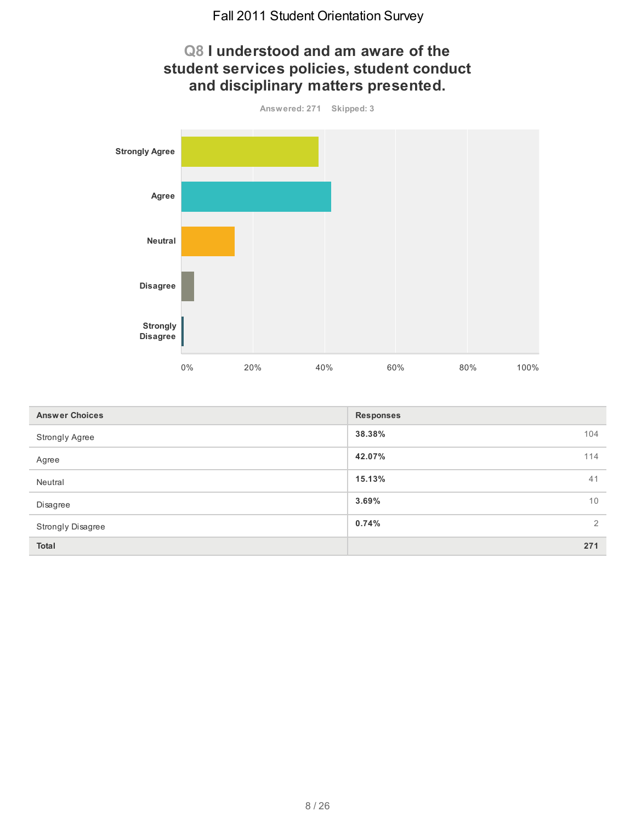# **Q8 I understood and am aware of the student services policies, student conduct and disciplinary matters presented.**



| <b>Answer Choices</b> | <b>Responses</b> |
|-----------------------|------------------|
| <b>Strongly Agree</b> | 38.38%<br>104    |
| Agree                 | 42.07%<br>114    |
| Neutral               | 15.13%<br>41     |
| Disagree              | 10<br>3.69%      |
| Strongly Disagree     | 0.74%<br>2       |
| Total                 | 271              |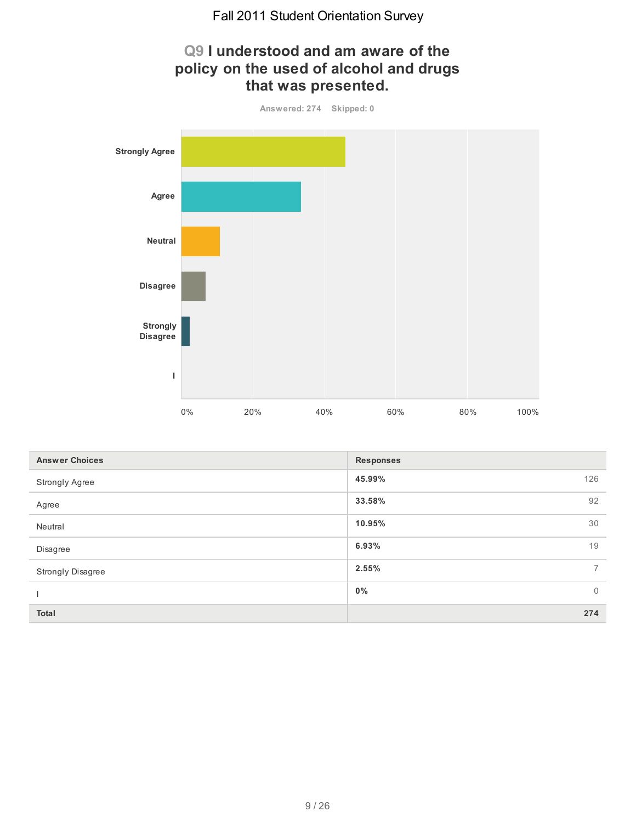**Q9 I understood and am aware of the**



| <b>Answer Choices</b>    | <b>Responses</b>     |
|--------------------------|----------------------|
| Strongly Agree           | 45.99%<br>126        |
| Agree                    | 92<br>33.58%         |
| Neutral                  | 30<br>10.95%         |
| Disagree                 | 19<br>6.93%          |
| <b>Strongly Disagree</b> | 2.55%<br>$7^{\circ}$ |
|                          | 0%<br>$\overline{0}$ |
| <b>Total</b>             | 274                  |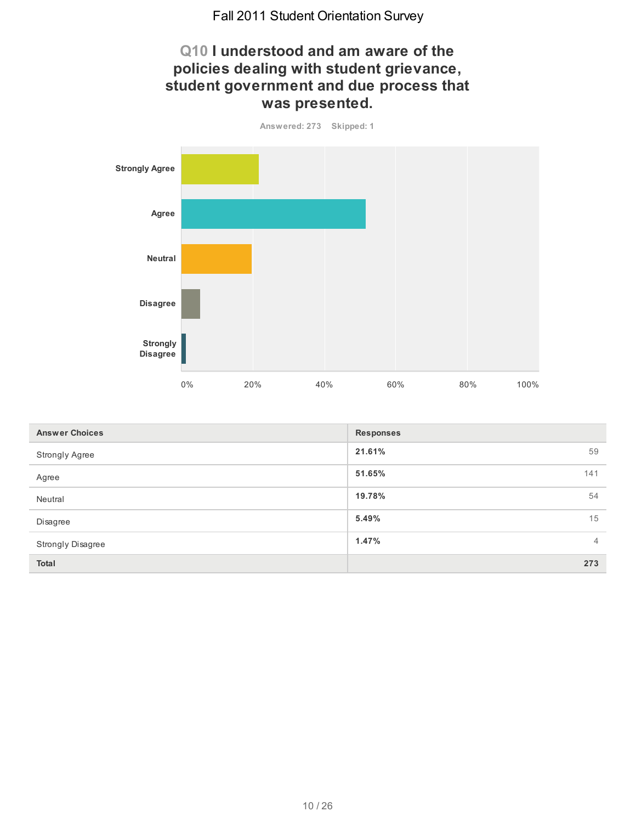# **Q10 I understood and am aware of the policies dealing with student grievance, student government and due process that was presented.**



| <b>Answer Choices</b>    | <b>Responses</b>        |
|--------------------------|-------------------------|
| <b>Strongly Agree</b>    | 21.61%<br>59            |
| Agree                    | 51.65%<br>141           |
| Neutral                  | 54<br>19.78%            |
| Disagree                 | 5.49%<br>15             |
| <b>Strongly Disagree</b> | 1.47%<br>$\overline{4}$ |
| <b>Total</b>             | 273                     |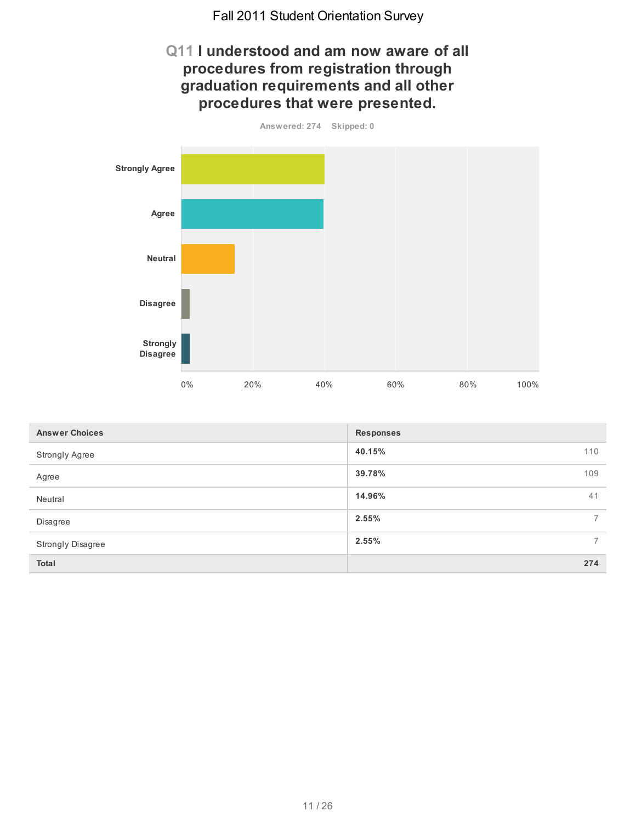### **Q11 I understood and am now aware of all procedures from registration through graduation requirements and all other procedures that were presented.**



| <b>Answer Choices</b>    | <b>Responses</b>        |
|--------------------------|-------------------------|
| <b>Strongly Agree</b>    | 40.15%<br>110           |
| Agree                    | 39.78%<br>109           |
| Neutral                  | 41<br>14.96%            |
| Disagree                 | 2.55%<br>$\overline{7}$ |
| <b>Strongly Disagree</b> | 2.55%<br>$\overline{7}$ |
| <b>Total</b>             | 274                     |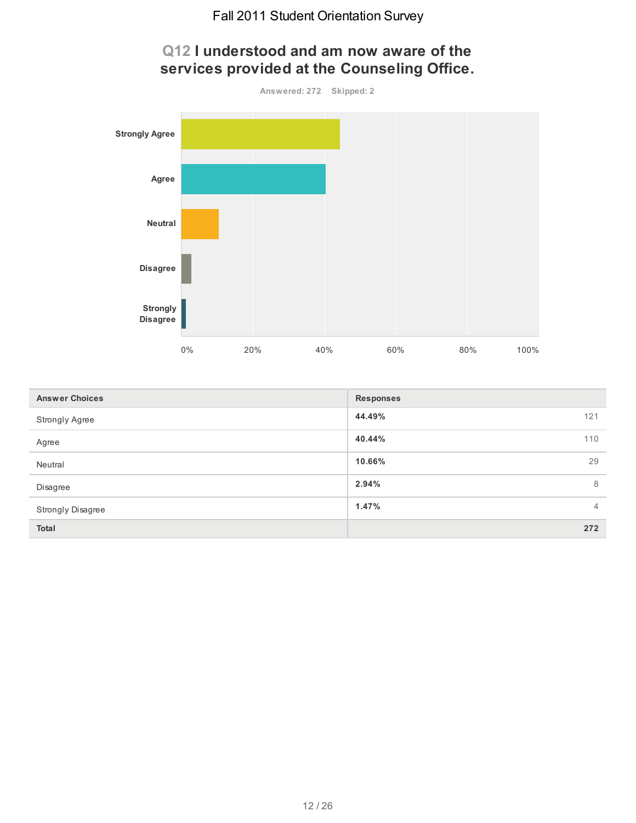

| <b>Answer Choices</b>    | <b>Responses</b>        |
|--------------------------|-------------------------|
| <b>Strongly Agree</b>    | 44.49%<br>121           |
| Agree                    | 40.44%<br>110           |
| Neutral                  | 29<br>10.66%            |
| Disagree                 | 2.94%<br>8              |
| <b>Strongly Disagree</b> | 1.47%<br>$\overline{4}$ |
| <b>Total</b>             | 272                     |

# **Q12 I understood and am now aware of the services provided at the Counseling Office.**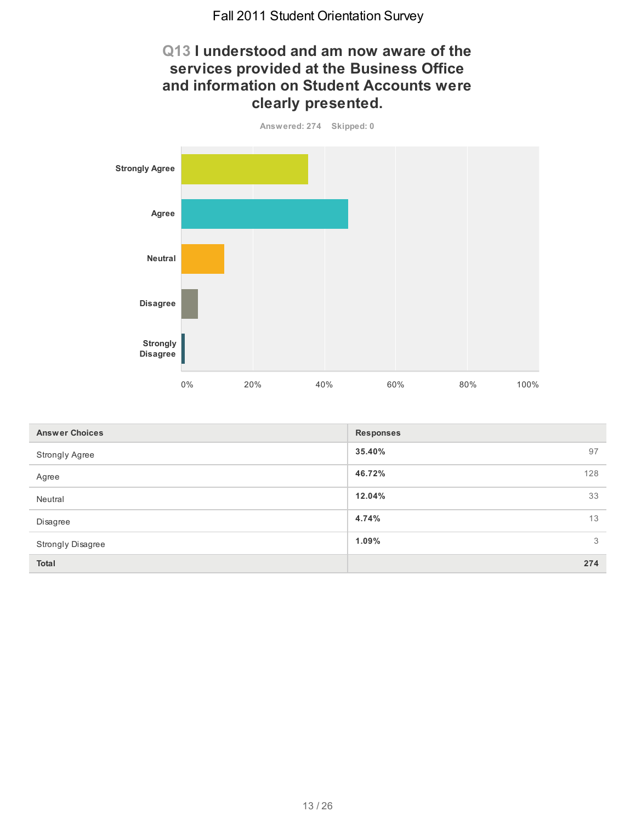# **Q13 I understood and am now aware of the services provided at the Business Office and information on Student Accounts were clearly presented.**



| <b>Answer Choices</b>    | <b>Responses</b> |
|--------------------------|------------------|
| <b>Strongly Agree</b>    | 35.40%<br>97     |
| Agree                    | 46.72%<br>128    |
| Neutral                  | 33<br>12.04%     |
| Disagree                 | 13<br>4.74%      |
| <b>Strongly Disagree</b> | 3<br>1.09%       |
| <b>Total</b>             | 274              |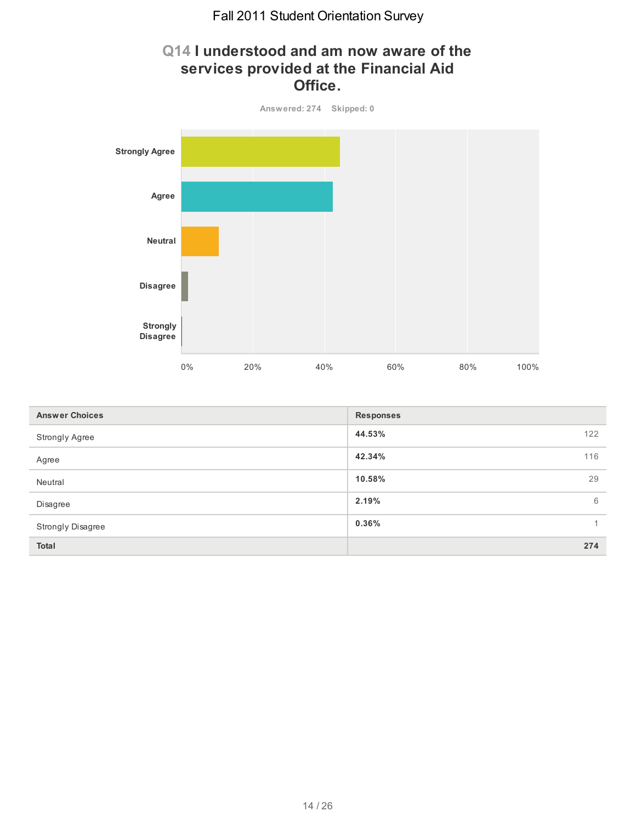# **Q14 I understood and am now aware of the services provided at the Financial Aid Office.**



| <b>Answer Choices</b> | <b>Responses</b> |
|-----------------------|------------------|
| Strongly Agree        | 44.53%<br>122    |
| Agree                 | 42.34%<br>116    |
| Neutral               | 29<br>10.58%     |
| Disagree              | 2.19%<br>6       |
| Strongly Disagree     | 0.36%            |
| Total                 | 274              |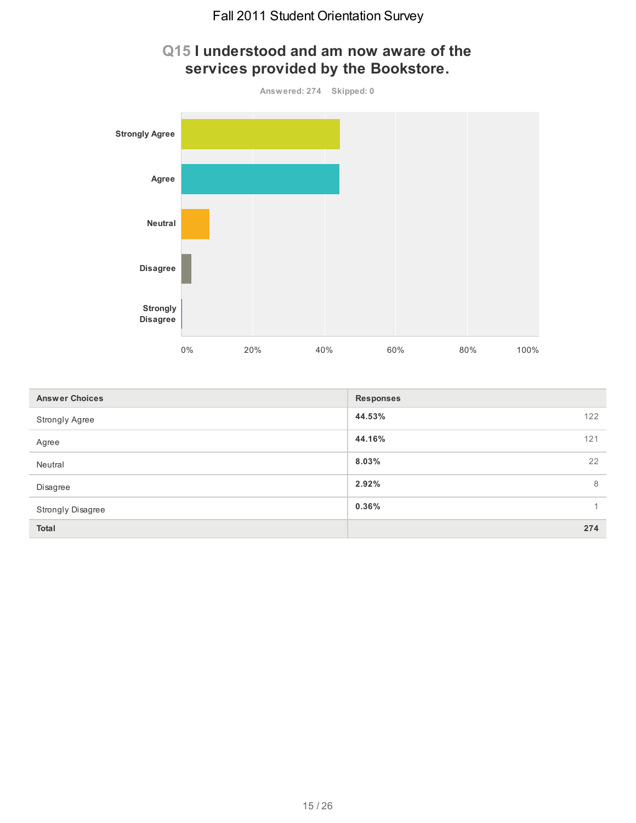

| <b>Answer Choices</b>    | <b>Responses</b> |              |
|--------------------------|------------------|--------------|
| <b>Strongly Agree</b>    | 44.53%           | 122          |
| Agree                    | 44.16%           | 121          |
| Neutral                  | 8.03%            | 22           |
| Disagree                 | 2.92%            | 8            |
| <b>Strongly Disagree</b> | 0.36%            | $\mathbf{1}$ |
| <b>Total</b>             |                  | 274          |

# **Q15 I understood and am now aware of the**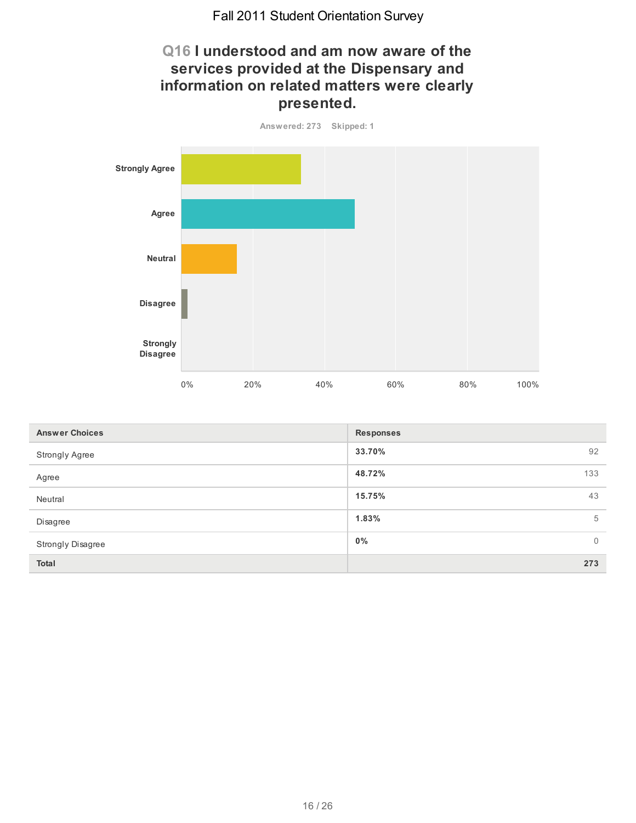# **Q16 I understood and am now aware of the services provided at the Dispensary and information on related matters were clearly presented.**



| <b>Answer Choices</b>    | <b>Responses</b>        |
|--------------------------|-------------------------|
| <b>Strongly Agree</b>    | 92<br>33.70%            |
| Agree                    | 48.72%<br>133           |
| Neutral                  | 43<br>15.75%            |
| Disagree                 | 1.83%<br>5              |
| <b>Strongly Disagree</b> | $0\%$<br>$\overline{0}$ |
| <b>Total</b>             | 273                     |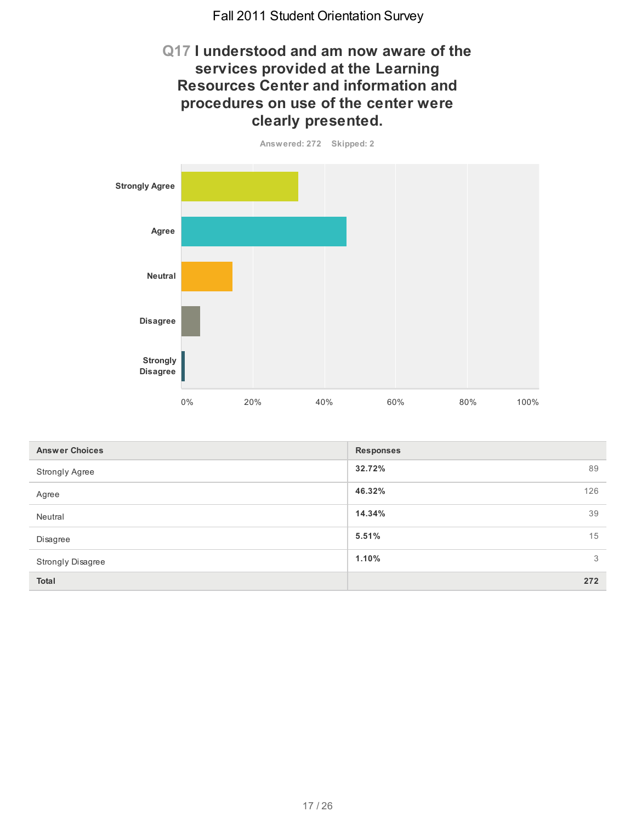# **Q17 I understood and am now aware of the services provided at the Learning Resources Center and information and procedures on use of the center were clearly presented.**





| <b>Answer Choices</b> | <b>Responses</b> |     |
|-----------------------|------------------|-----|
| Strongly Agree        | 32.72%           | 89  |
| Agree                 | 46.32%           | 126 |
| Neutral               | 14.34%           | 39  |
| Disagree              | 5.51%            | 15  |
| Strongly Disagree     | 1.10%            | 3   |
| Total                 |                  | 272 |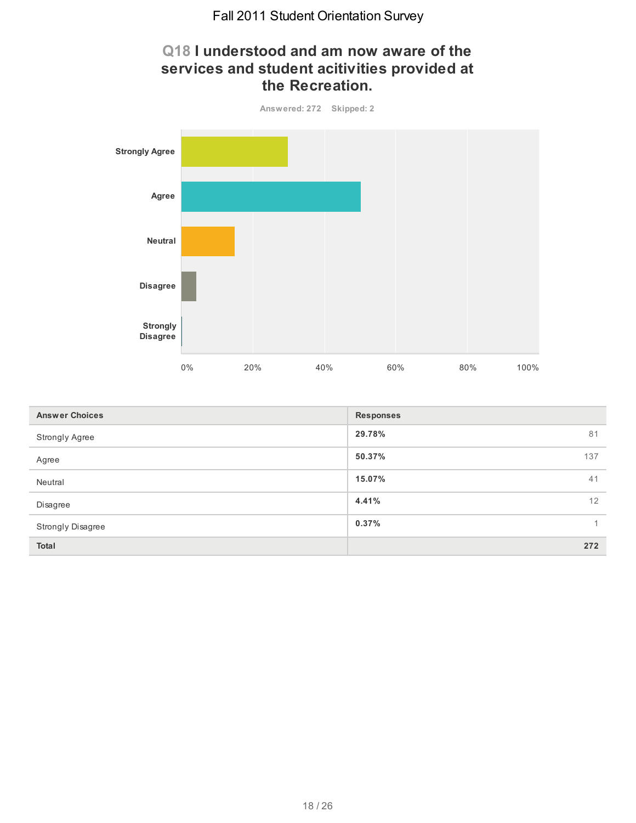# **Q18 I understood and am now aware of the services and student acitivities provided at the Recreation.**



| <b>Answer Choices</b> | <b>Responses</b> |
|-----------------------|------------------|
| Strongly Agree        | 29.78%<br>81     |
| Agree                 | 50.37%<br>137    |
| Neutral               | 15.07%<br>41     |
| Disagree              | 12<br>4.41%      |
| Strongly Disagree     | 0.37%            |
| <b>Total</b>          | 272              |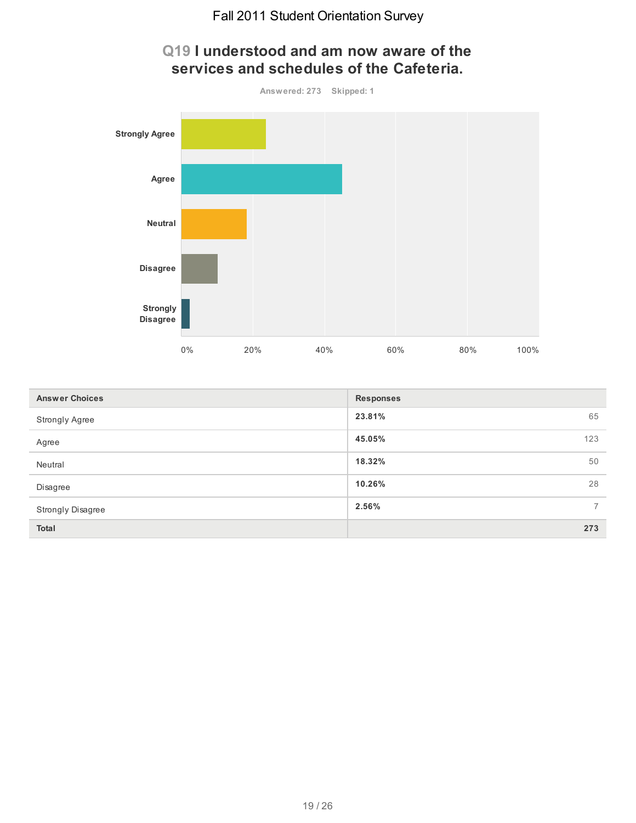

| <b>Answer Choices</b>    | <b>Responses</b>        |
|--------------------------|-------------------------|
| <b>Strongly Agree</b>    | 23.81%<br>65            |
| Agree                    | 45.05%<br>123           |
| Neutral                  | 50<br>18.32%            |
| Disagree                 | 28<br>10.26%            |
| <b>Strongly Disagree</b> | 2.56%<br>$\overline{7}$ |
| <b>Total</b>             | 273                     |

#### **Q19 I understood and am now aware of the services and schedules of the Cafeteria.**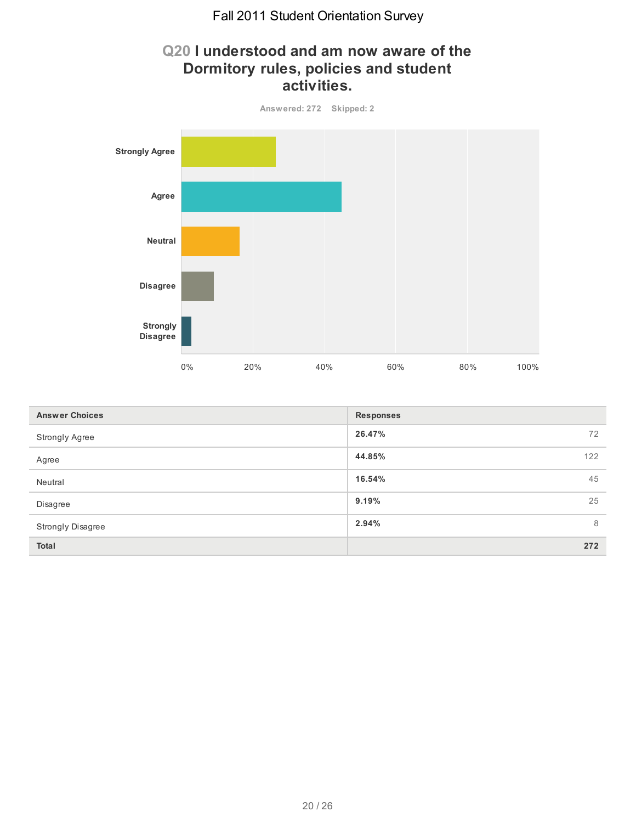# **Q20 I understood and am now aware of the Dormitory rules, policies and student activities.**



| <b>Answer Choices</b> | <b>Responses</b> |
|-----------------------|------------------|
| <b>Strongly Agree</b> | 26.47%<br>72     |
| Agree                 | 44.85%<br>122    |
| Neutral               | 45<br>16.54%     |
| Disagree              | 9.19%<br>25      |
| Strongly Disagree     | 8<br>2.94%       |
| <b>Total</b>          | 272              |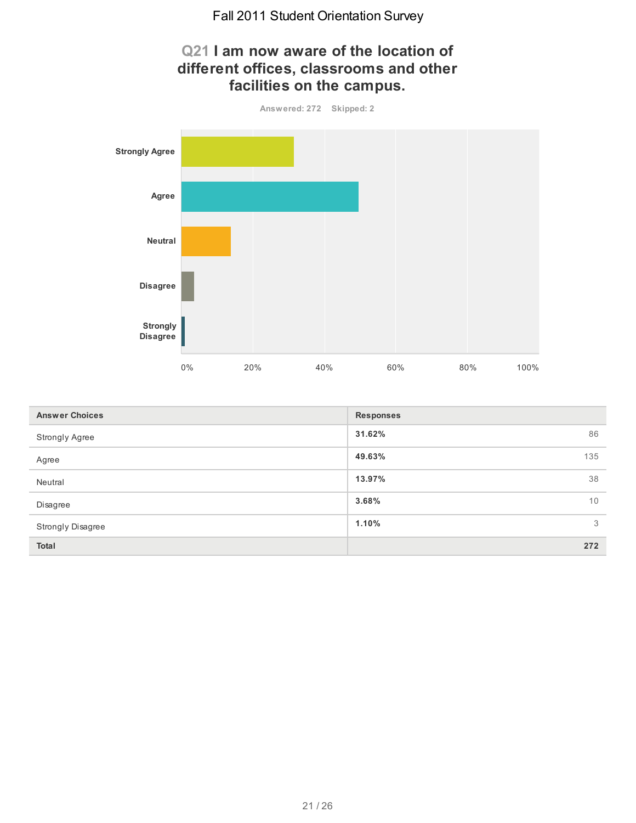

| <b>Answer Choices</b> | <b>Responses</b> |
|-----------------------|------------------|
| <b>Strongly Agree</b> | 31.62%<br>86     |
| Agree                 | 49.63%<br>135    |
| Neutral               | 38<br>13.97%     |
| Disagree              | 3.68%<br>10      |
| Strongly Disagree     | 1.10%<br>3       |
| <b>Total</b>          | 272              |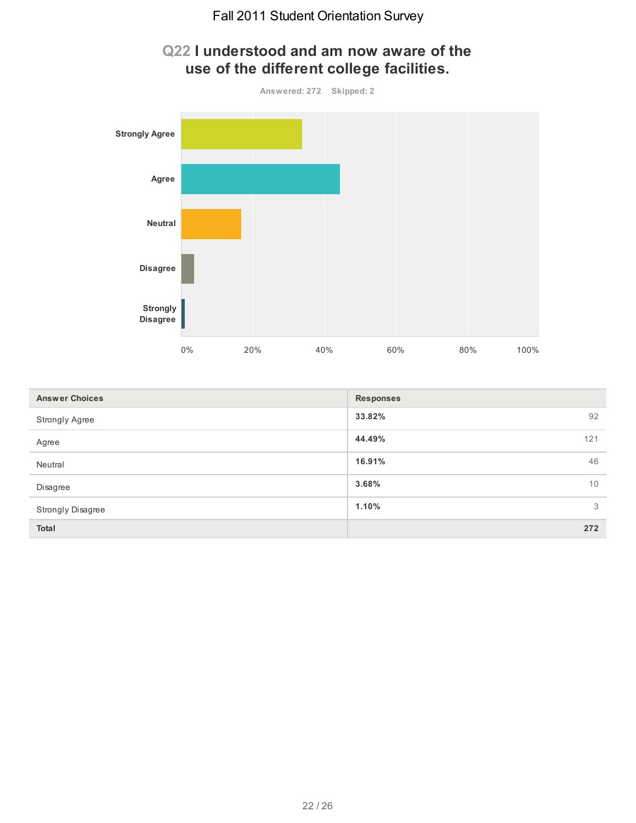

| <b>Answer Choices</b>    | <b>Responses</b> |    |
|--------------------------|------------------|----|
| <b>Strongly Agree</b>    | 33.82%<br>92     |    |
| Agree                    | 44.49%<br>121    |    |
| Neutral                  | 16.91%           | 46 |
| Disagree                 | 3.68%            | 10 |
| <b>Strongly Disagree</b> | 1.10%            | 3  |
| <b>Total</b>             | 272              |    |

# **Q22 I understood and am now aware of the use of the different college facilities.**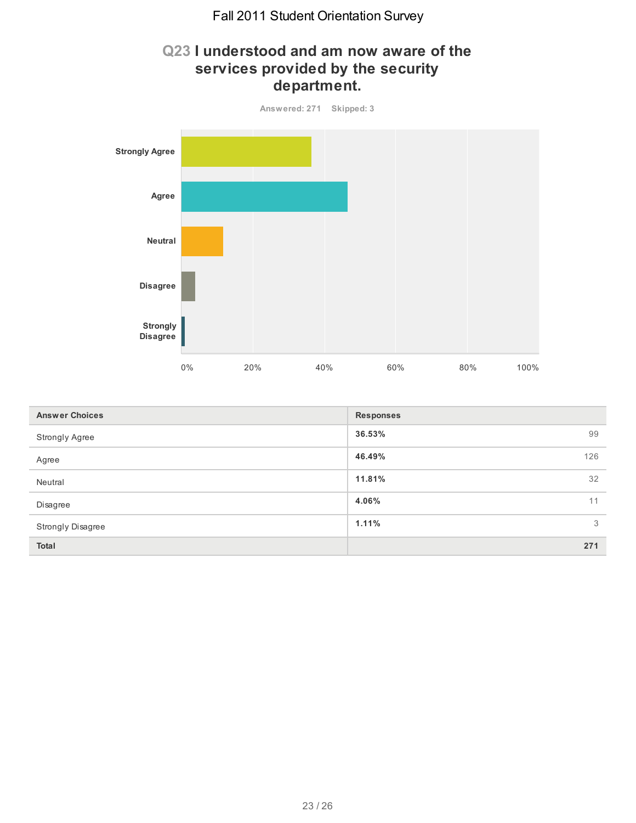# **Q23 I understood and am now aware of the services provided by the security department.**



| <b>Answer Choices</b> | <b>Responses</b> |
|-----------------------|------------------|
| Strongly Agree        | 36.53%<br>99     |
| Agree                 | 46.49%<br>126    |
| Neutral               | 32<br>11.81%     |
| Disagree              | 4.06%<br>11      |
| Strongly Disagree     | 3<br>1.11%       |
| <b>Total</b>          | 271              |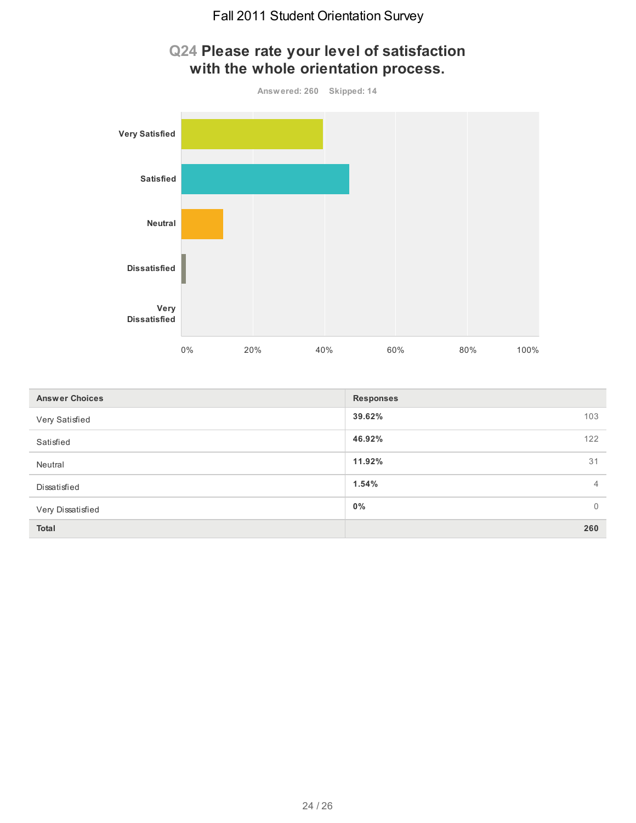

| <b>Answer Choices</b> | <b>Responses</b> |                |
|-----------------------|------------------|----------------|
| Very Satisfied        | 39.62%           | 103            |
| Satisfied             | 46.92%           | 122            |
| Neutral               | 11.92%           | 31             |
| Dissatisfied          | 1.54%            | $\overline{4}$ |
| Very Dissatisfied     | $0\%$            | $\overline{0}$ |
| <b>Total</b>          |                  | 260            |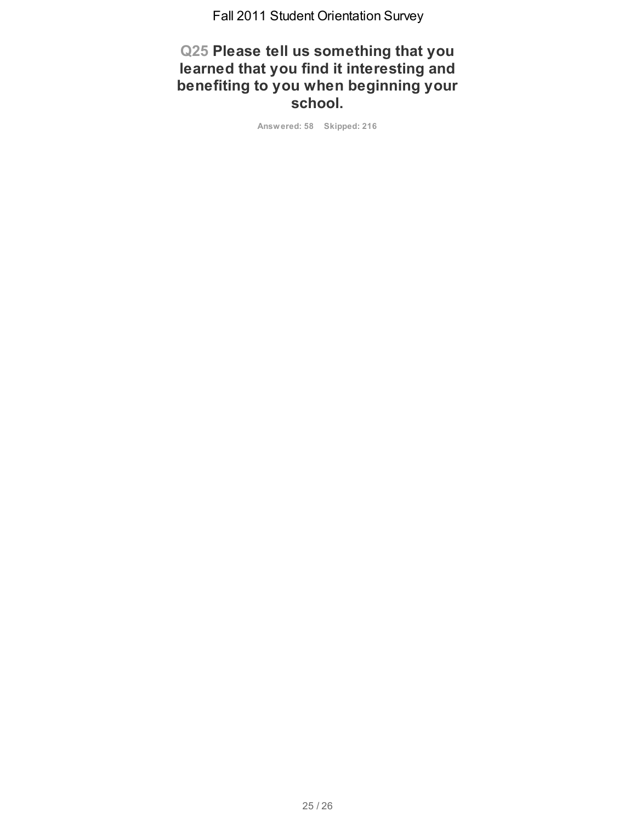**Q25 Please tell us something that you learned that you find it interesting and benefiting to you when beginning your school.**

**Answered: 58 Skipped: 216**